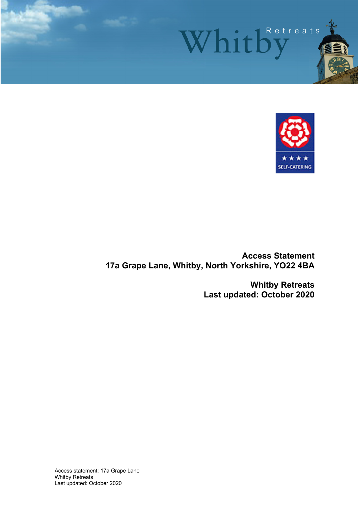



**Access Statement 17a Grape Lane, Whitby, North Yorkshire, YO22 4BA**

> **Whitby Retreats Last updated: October 2020**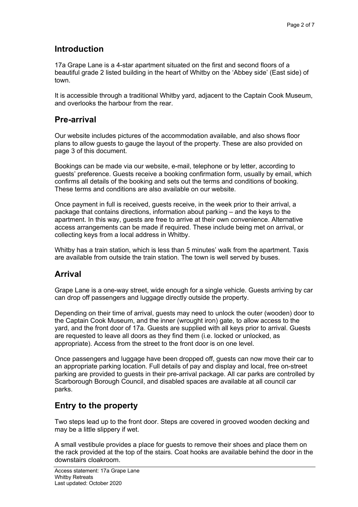## **Introduction**

17a Grape Lane is a 4-star apartment situated on the first and second floors of a beautiful grade 2 listed building in the heart of Whitby on the 'Abbey side' (East side) of town.

It is accessible through a traditional Whitby yard, adjacent to the Captain Cook Museum, and overlooks the harbour from the rear.

## **Pre-arrival**

Our website includes pictures of the accommodation available, and also shows floor plans to allow guests to gauge the layout of the property. These are also provided on page 3 of this document.

Bookings can be made via our website, e-mail, telephone or by letter, according to guests' preference. Guests receive a booking confirmation form, usually by email, which confirms all details of the booking and sets out the terms and conditions of booking. These terms and conditions are also available on our website.

Once payment in full is received, guests receive, in the week prior to their arrival, a package that contains directions, information about parking – and the keys to the apartment. In this way, guests are free to arrive at their own convenience. Alternative access arrangements can be made if required. These include being met on arrival, or collecting keys from a local address in Whitby.

Whitby has a train station, which is less than 5 minutes' walk from the apartment. Taxis are available from outside the train station. The town is well served by buses.

## **Arrival**

Grape Lane is a one-way street, wide enough for a single vehicle. Guests arriving by car can drop off passengers and luggage directly outside the property.

Depending on their time of arrival, guests may need to unlock the outer (wooden) door to the Captain Cook Museum, and the inner (wrought iron) gate, to allow access to the yard, and the front door of 17a. Guests are supplied with all keys prior to arrival. Guests are requested to leave all doors as they find them (i.e. locked or unlocked, as appropriate). Access from the street to the front door is on one level.

Once passengers and luggage have been dropped off, guests can now move their car to an appropriate parking location. Full details of pay and display and local, free on-street parking are provided to guests in their pre-arrival package. All car parks are controlled by Scarborough Borough Council, and disabled spaces are available at all council car parks.

# **Entry to the property**

Two steps lead up to the front door. Steps are covered in grooved wooden decking and may be a little slippery if wet.

A small vestibule provides a place for guests to remove their shoes and place them on the rack provided at the top of the stairs. Coat hooks are available behind the door in the downstairs cloakroom.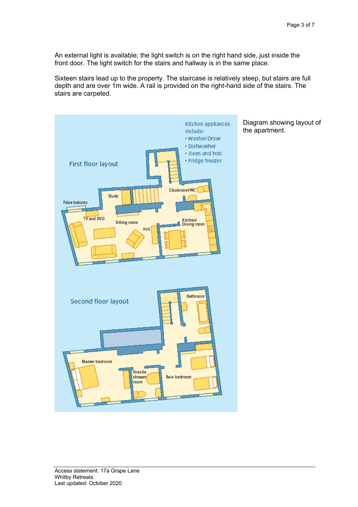An external light is available; the light switch is on the right hand side, just inside the front door. The light switch for the stairs and hallway is in the same place.

Sixteen stairs lead up to the property. The staircase is relatively steep, but stairs are full depth and are over 1m wide. A rail is provided on the right-hand side of the stairs. The stairs are carpeted.



Diagram showing layout of the apartment.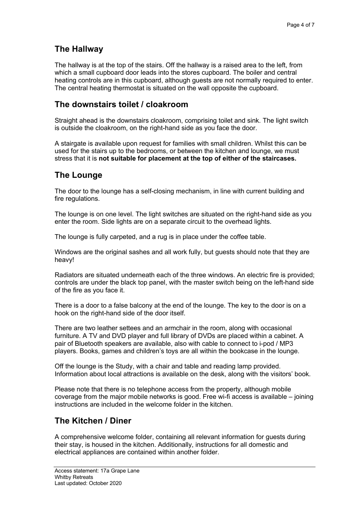# **The Hallway**

The hallway is at the top of the stairs. Off the hallway is a raised area to the left, from which a small cupboard door leads into the stores cupboard. The boiler and central heating controls are in this cupboard, although guests are not normally required to enter. The central heating thermostat is situated on the wall opposite the cupboard.

## **The downstairs toilet / cloakroom**

Straight ahead is the downstairs cloakroom, comprising toilet and sink. The light switch is outside the cloakroom, on the right-hand side as you face the door.

A stairgate is available upon request for families with small children. Whilst this can be used for the stairs up to the bedrooms, or between the kitchen and lounge, we must stress that it is **not suitable for placement at the top of either of the staircases.** 

## **The Lounge**

The door to the lounge has a self-closing mechanism, in line with current building and fire regulations.

The lounge is on one level. The light switches are situated on the right-hand side as you enter the room. Side lights are on a separate circuit to the overhead lights.

The lounge is fully carpeted, and a rug is in place under the coffee table.

Windows are the original sashes and all work fully, but guests should note that they are heavy!

Radiators are situated underneath each of the three windows. An electric fire is provided; controls are under the black top panel, with the master switch being on the left-hand side of the fire as you face it.

There is a door to a false balcony at the end of the lounge. The key to the door is on a hook on the right-hand side of the door itself.

There are two leather settees and an armchair in the room, along with occasional furniture. A TV and DVD player and full library of DVDs are placed within a cabinet. A pair of Bluetooth speakers are available, also with cable to connect to i-pod / MP3 players. Books, games and children's toys are all within the bookcase in the lounge.

Off the lounge is the Study, with a chair and table and reading lamp provided. Information about local attractions is available on the desk, along with the visitors' book.

Please note that there is no telephone access from the property, although mobile coverage from the major mobile networks is good. Free wi-fi access is available – joining instructions are included in the welcome folder in the kitchen.

## **The Kitchen / Diner**

A comprehensive welcome folder, containing all relevant information for guests during their stay, is housed in the kitchen. Additionally, instructions for all domestic and electrical appliances are contained within another folder.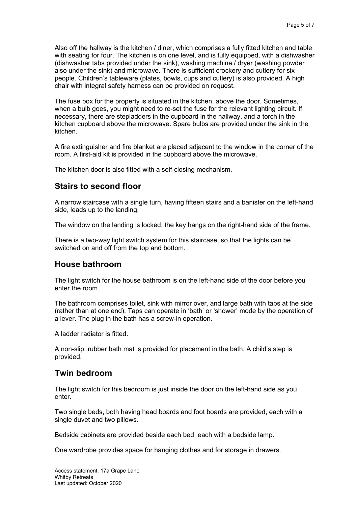Also off the hallway is the kitchen / diner, which comprises a fully fitted kitchen and table with seating for four. The kitchen is on one level, and is fully equipped, with a dishwasher (dishwasher tabs provided under the sink), washing machine / dryer (washing powder also under the sink) and microwave. There is sufficient crockery and cutlery for six people. Children's tableware (plates, bowls, cups and cutlery) is also provided. A high chair with integral safety harness can be provided on request.

The fuse box for the property is situated in the kitchen, above the door. Sometimes, when a bulb goes, you might need to re-set the fuse for the relevant lighting circuit. If necessary, there are stepladders in the cupboard in the hallway, and a torch in the kitchen cupboard above the microwave. Spare bulbs are provided under the sink in the kitchen.

A fire extinguisher and fire blanket are placed adjacent to the window in the corner of the room. A first-aid kit is provided in the cupboard above the microwave.

The kitchen door is also fitted with a self-closing mechanism.

### **Stairs to second floor**

A narrow staircase with a single turn, having fifteen stairs and a banister on the left-hand side, leads up to the landing.

The window on the landing is locked; the key hangs on the right-hand side of the frame.

There is a two-way light switch system for this staircase, so that the lights can be switched on and off from the top and bottom.

### **House bathroom**

The light switch for the house bathroom is on the left-hand side of the door before you enter the room.

The bathroom comprises toilet, sink with mirror over, and large bath with taps at the side (rather than at one end). Taps can operate in 'bath' or 'shower' mode by the operation of a lever. The plug in the bath has a screw-in operation.

A ladder radiator is fitted.

A non-slip, rubber bath mat is provided for placement in the bath. A child's step is provided.

### **Twin bedroom**

The light switch for this bedroom is just inside the door on the left-hand side as you enter.

Two single beds, both having head boards and foot boards are provided, each with a single duvet and two pillows.

Bedside cabinets are provided beside each bed, each with a bedside lamp.

One wardrobe provides space for hanging clothes and for storage in drawers.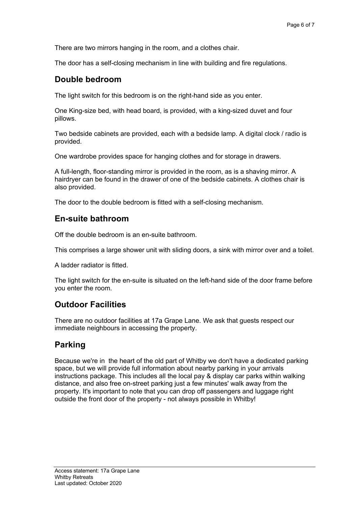There are two mirrors hanging in the room, and a clothes chair.

The door has a self-closing mechanism in line with building and fire regulations.

### **Double bedroom**

The light switch for this bedroom is on the right-hand side as you enter.

One King-size bed, with head board, is provided, with a king-sized duvet and four pillows.

Two bedside cabinets are provided, each with a bedside lamp. A digital clock / radio is provided.

One wardrobe provides space for hanging clothes and for storage in drawers.

A full-length, floor-standing mirror is provided in the room, as is a shaving mirror. A hairdryer can be found in the drawer of one of the bedside cabinets. A clothes chair is also provided.

The door to the double bedroom is fitted with a self-closing mechanism.

### **En-suite bathroom**

Off the double bedroom is an en-suite bathroom.

This comprises a large shower unit with sliding doors, a sink with mirror over and a toilet.

A ladder radiator is fitted.

The light switch for the en-suite is situated on the left-hand side of the door frame before you enter the room.

### **Outdoor Facilities**

There are no outdoor facilities at 17a Grape Lane. We ask that guests respect our immediate neighbours in accessing the property.

### **Parking**

Because we're in the heart of the old part of Whitby we don't have a dedicated parking space, but we will provide full information about nearby parking in your arrivals instructions package. This includes all the local pay & display car parks within walking distance, and also free on-street parking just a few minutes' walk away from the property. It's important to note that you can drop off passengers and luggage right outside the front door of the property - not always possible in Whitby!